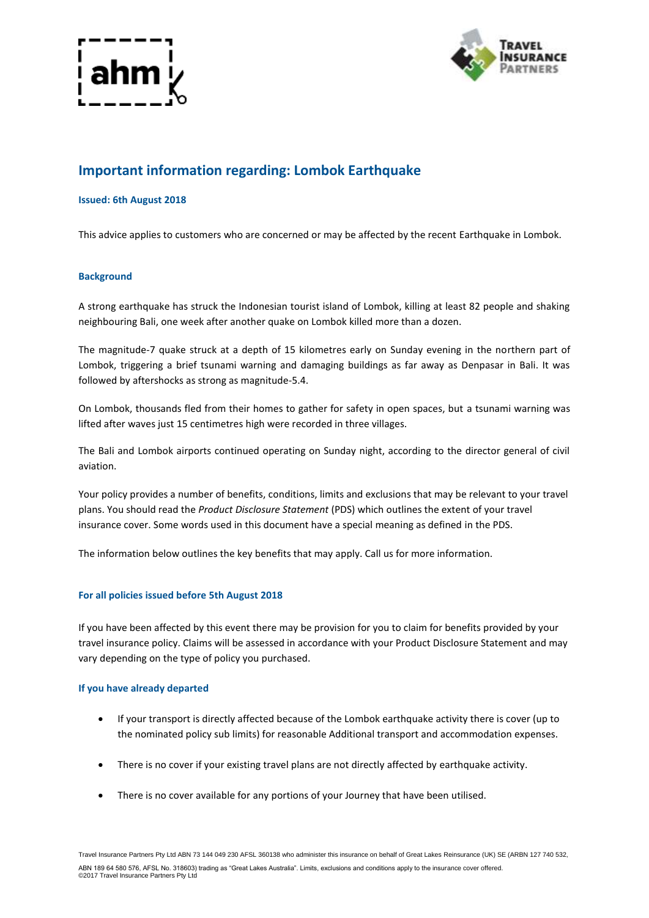



# **Important information regarding: Lombok Earthquake**

# **Issued: 6th August 2018**

This advice applies to customers who are concerned or may be affected by the recent Earthquake in Lombok.

### **Background**

A strong earthquake has struck the Indonesian tourist island of Lombok, killing at least 82 people and shaking neighbouring Bali, one week after another quake on Lombok killed more than a dozen.

The magnitude-7 quake struck at a depth of 15 kilometres early on Sunday evening in the northern part of Lombok, triggering a brief tsunami warning and damaging buildings as far away as Denpasar in Bali. It was followed by aftershocks as strong as magnitude-5.4.

On Lombok, thousands fled from their homes to gather for safety in open spaces, but a tsunami warning was lifted after waves just 15 centimetres high were recorded in three villages.

The Bali and Lombok airports continued operating on Sunday night, according to the director general of civil aviation.

Your policy provides a number of benefits, conditions, limits and exclusions that may be relevant to your travel plans. You should read the *Product Disclosure Statement* (PDS) which outlines the extent of your travel insurance cover. Some words used in this document have a special meaning as defined in the PDS.

The information below outlines the key benefits that may apply. Call us for more information.

# **For all policies issued before 5th August 2018**

If you have been affected by this event there may be provision for you to claim for benefits provided by your travel insurance policy. Claims will be assessed in accordance with your Product Disclosure Statement and may vary depending on the type of policy you purchased.

#### **If you have already departed**

- If your transport is directly affected because of the Lombok earthquake activity there is cover (up to the nominated policy sub limits) for reasonable Additional transport and accommodation expenses.
- There is no cover if your existing travel plans are not directly affected by earthquake activity.
- There is no cover available for any portions of your Journey that have been utilised.